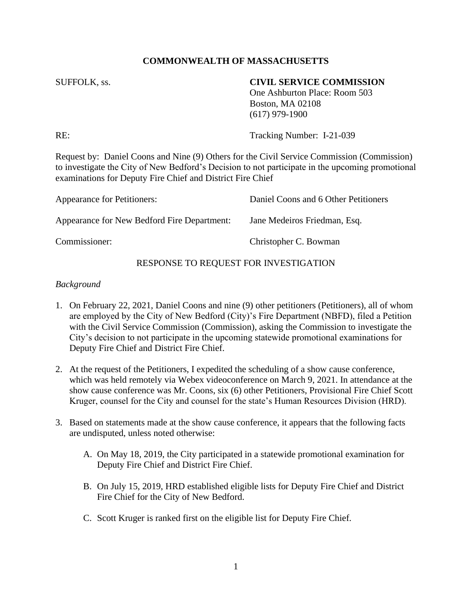# **COMMONWEALTH OF MASSACHUSETTS**

### SUFFOLK, ss. **CIVIL SERVICE COMMISSION**

One Ashburton Place: Room 503 Boston, MA 02108 (617) 979-1900

RE: Tracking Number: I-21-039

Request by: Daniel Coons and Nine (9) Others for the Civil Service Commission (Commission) to investigate the City of New Bedford's Decision to not participate in the upcoming promotional examinations for Deputy Fire Chief and District Fire Chief

| Appearance for Petitioners:                 | Daniel Coons and 6 Other Petitioners |
|---------------------------------------------|--------------------------------------|
| Appearance for New Bedford Fire Department: | Jane Medeiros Friedman, Esq.         |
| Commissioner:                               | Christopher C. Bowman                |

## RESPONSE TO REQUEST FOR INVESTIGATION

#### *Background*

- 1. On February 22, 2021, Daniel Coons and nine (9) other petitioners (Petitioners), all of whom are employed by the City of New Bedford (City)'s Fire Department (NBFD), filed a Petition with the Civil Service Commission (Commission), asking the Commission to investigate the City's decision to not participate in the upcoming statewide promotional examinations for Deputy Fire Chief and District Fire Chief.
- 2. At the request of the Petitioners, I expedited the scheduling of a show cause conference, which was held remotely via Webex videoconference on March 9, 2021. In attendance at the show cause conference was Mr. Coons, six (6) other Petitioners, Provisional Fire Chief Scott Kruger, counsel for the City and counsel for the state's Human Resources Division (HRD).
- 3. Based on statements made at the show cause conference, it appears that the following facts are undisputed, unless noted otherwise:
	- A. On May 18, 2019, the City participated in a statewide promotional examination for Deputy Fire Chief and District Fire Chief.
	- B. On July 15, 2019, HRD established eligible lists for Deputy Fire Chief and District Fire Chief for the City of New Bedford.
	- C. Scott Kruger is ranked first on the eligible list for Deputy Fire Chief.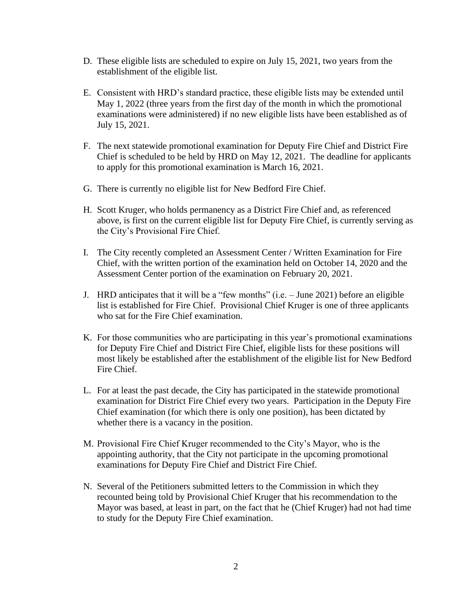- D. These eligible lists are scheduled to expire on July 15, 2021, two years from the establishment of the eligible list.
- E. Consistent with HRD's standard practice, these eligible lists may be extended until May 1, 2022 (three years from the first day of the month in which the promotional examinations were administered) if no new eligible lists have been established as of July 15, 2021.
- F. The next statewide promotional examination for Deputy Fire Chief and District Fire Chief is scheduled to be held by HRD on May 12, 2021. The deadline for applicants to apply for this promotional examination is March 16, 2021.
- G. There is currently no eligible list for New Bedford Fire Chief.
- H. Scott Kruger, who holds permanency as a District Fire Chief and, as referenced above, is first on the current eligible list for Deputy Fire Chief, is currently serving as the City's Provisional Fire Chief.
- I. The City recently completed an Assessment Center / Written Examination for Fire Chief, with the written portion of the examination held on October 14, 2020 and the Assessment Center portion of the examination on February 20, 2021.
- J. HRD anticipates that it will be a "few months" (i.e. June 2021) before an eligible list is established for Fire Chief. Provisional Chief Kruger is one of three applicants who sat for the Fire Chief examination.
- K. For those communities who are participating in this year's promotional examinations for Deputy Fire Chief and District Fire Chief, eligible lists for these positions will most likely be established after the establishment of the eligible list for New Bedford Fire Chief.
- L. For at least the past decade, the City has participated in the statewide promotional examination for District Fire Chief every two years. Participation in the Deputy Fire Chief examination (for which there is only one position), has been dictated by whether there is a vacancy in the position.
- M. Provisional Fire Chief Kruger recommended to the City's Mayor, who is the appointing authority, that the City not participate in the upcoming promotional examinations for Deputy Fire Chief and District Fire Chief.
- N. Several of the Petitioners submitted letters to the Commission in which they recounted being told by Provisional Chief Kruger that his recommendation to the Mayor was based, at least in part, on the fact that he (Chief Kruger) had not had time to study for the Deputy Fire Chief examination.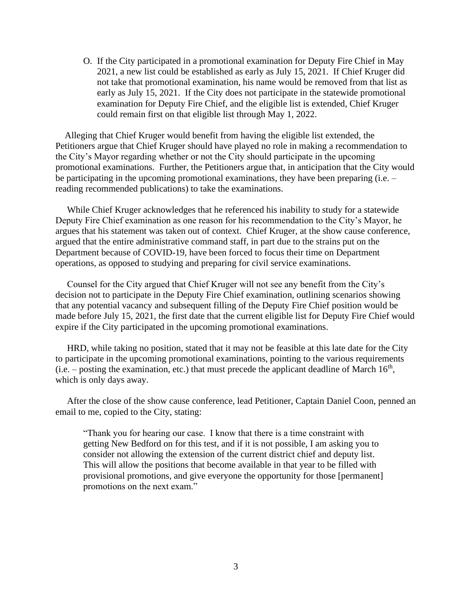O. If the City participated in a promotional examination for Deputy Fire Chief in May 2021, a new list could be established as early as July 15, 2021. If Chief Kruger did not take that promotional examination, his name would be removed from that list as early as July 15, 2021. If the City does not participate in the statewide promotional examination for Deputy Fire Chief, and the eligible list is extended, Chief Kruger could remain first on that eligible list through May 1, 2022.

 Alleging that Chief Kruger would benefit from having the eligible list extended, the Petitioners argue that Chief Kruger should have played no role in making a recommendation to the City's Mayor regarding whether or not the City should participate in the upcoming promotional examinations. Further, the Petitioners argue that, in anticipation that the City would be participating in the upcoming promotional examinations, they have been preparing (i.e. – reading recommended publications) to take the examinations.

 While Chief Kruger acknowledges that he referenced his inability to study for a statewide Deputy Fire Chief examination as one reason for his recommendation to the City's Mayor, he argues that his statement was taken out of context. Chief Kruger, at the show cause conference, argued that the entire administrative command staff, in part due to the strains put on the Department because of COVID-19, have been forced to focus their time on Department operations, as opposed to studying and preparing for civil service examinations.

 Counsel for the City argued that Chief Kruger will not see any benefit from the City's decision not to participate in the Deputy Fire Chief examination, outlining scenarios showing that any potential vacancy and subsequent filling of the Deputy Fire Chief position would be made before July 15, 2021, the first date that the current eligible list for Deputy Fire Chief would expire if the City participated in the upcoming promotional examinations.

 HRD, while taking no position, stated that it may not be feasible at this late date for the City to participate in the upcoming promotional examinations, pointing to the various requirements  $(i.e. -$  posting the examination, etc.) that must precede the applicant deadline of March  $16<sup>th</sup>$ , which is only days away.

 After the close of the show cause conference, lead Petitioner, Captain Daniel Coon, penned an email to me, copied to the City, stating:

"Thank you for hearing our case. I know that there is a time constraint with getting New Bedford on for this test, and if it is not possible, I am asking you to consider not allowing the extension of the current district chief and deputy list. This will allow the positions that become available in that year to be filled with provisional promotions, and give everyone the opportunity for those [permanent] promotions on the next exam."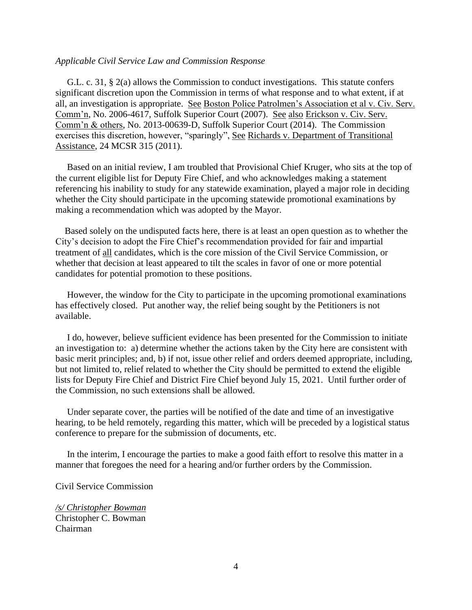#### *Applicable Civil Service Law and Commission Response*

 G.L. c. 31, § 2(a) allows the Commission to conduct investigations. This statute confers significant discretion upon the Commission in terms of what response and to what extent, if at all, an investigation is appropriate. See Boston Police Patrolmen's Association et al v. Civ. Serv. Comm'n, No. 2006-4617, Suffolk Superior Court (2007). See also Erickson v. Civ. Serv. Comm'n & others, No. 2013-00639-D, Suffolk Superior Court (2014). The Commission exercises this discretion, however, "sparingly", See Richards v. Department of Transitional Assistance, 24 MCSR 315 (2011).

 Based on an initial review, I am troubled that Provisional Chief Kruger, who sits at the top of the current eligible list for Deputy Fire Chief, and who acknowledges making a statement referencing his inability to study for any statewide examination, played a major role in deciding whether the City should participate in the upcoming statewide promotional examinations by making a recommendation which was adopted by the Mayor.

 Based solely on the undisputed facts here, there is at least an open question as to whether the City's decision to adopt the Fire Chief's recommendation provided for fair and impartial treatment of all candidates, which is the core mission of the Civil Service Commission, or whether that decision at least appeared to tilt the scales in favor of one or more potential candidates for potential promotion to these positions.

 However, the window for the City to participate in the upcoming promotional examinations has effectively closed. Put another way, the relief being sought by the Petitioners is not available.

 I do, however, believe sufficient evidence has been presented for the Commission to initiate an investigation to: a) determine whether the actions taken by the City here are consistent with basic merit principles; and, b) if not, issue other relief and orders deemed appropriate, including, but not limited to, relief related to whether the City should be permitted to extend the eligible lists for Deputy Fire Chief and District Fire Chief beyond July 15, 2021. Until further order of the Commission, no such extensions shall be allowed.

 Under separate cover, the parties will be notified of the date and time of an investigative hearing, to be held remotely, regarding this matter, which will be preceded by a logistical status conference to prepare for the submission of documents, etc.

 In the interim, I encourage the parties to make a good faith effort to resolve this matter in a manner that foregoes the need for a hearing and/or further orders by the Commission.

Civil Service Commission

*/s/ Christopher Bowman* Christopher C. Bowman Chairman